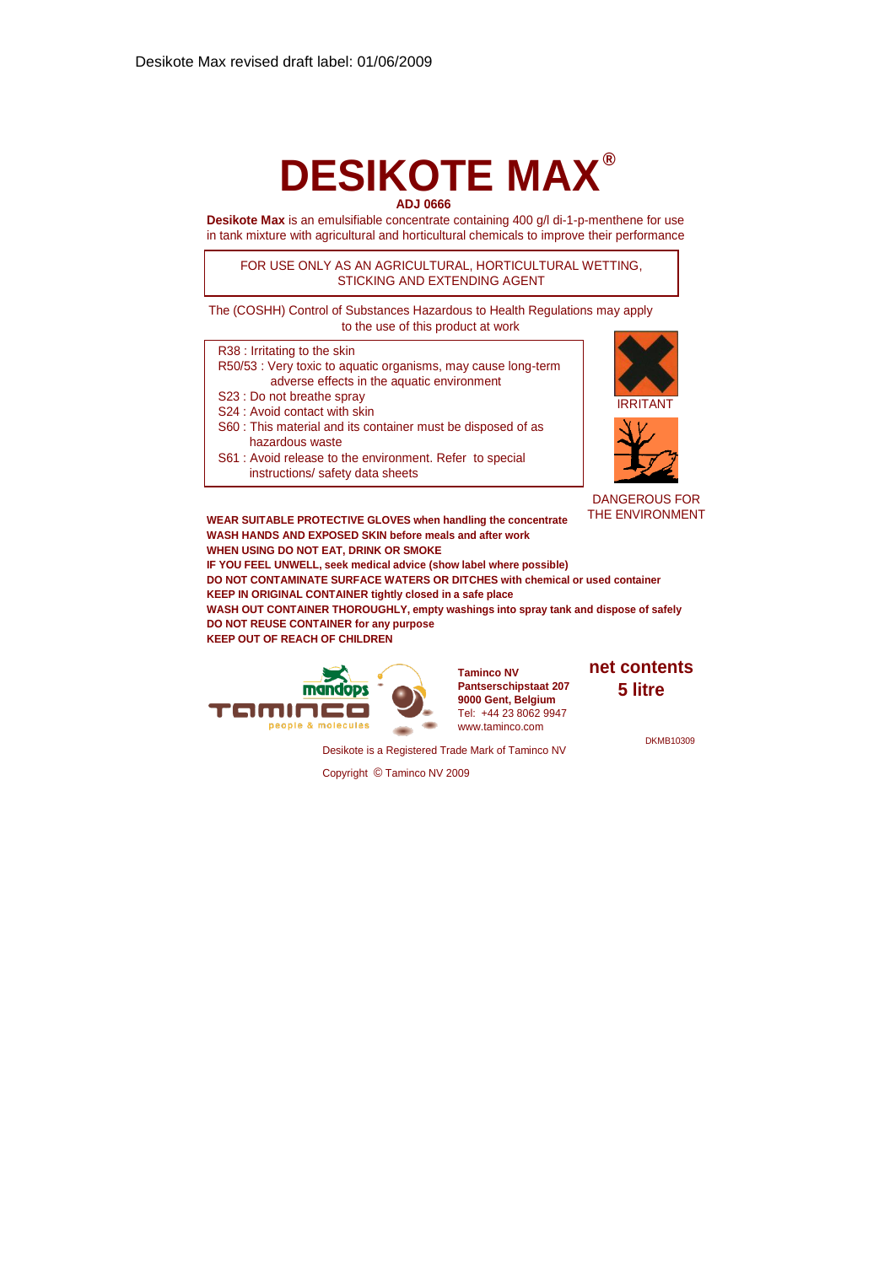# **DESIKOTE MAX ®ADJ 0666**

**Desikote Max** is an emulsifiable concentrate containing 400 g/l di-1-p-menthene for use in tank mixture with agricultural and horticultural chemicals to improve their performance

FOR USE ONLY AS AN AGRICULTURAL, HORTICULTURAL WETTING, STICKING AND EXTENDING AGENT

The (COSHH) Control of Substances Hazardous to Health Regulations may apply to the use of this product at work

| R38 : Irritating to the skin                                  |  |  |  |  |
|---------------------------------------------------------------|--|--|--|--|
| R50/53 : Very toxic to aquatic organisms, may cause long-term |  |  |  |  |
| adverse effects in the aquatic environment                    |  |  |  |  |
| S23 : Do not breathe spray                                    |  |  |  |  |
| S24 : Avoid contact with skin                                 |  |  |  |  |
|                                                               |  |  |  |  |

S60 : This material and its container must be disposed of as hazardous waste

S61 : Avoid release to the environment. Refer to special instructions/ safety data sheets



DANGEROUS FOR

**WEAR SUITABLE PROTECTIVE GLOVES when handling the concentrate** THE ENVIRONMENT **WASH HANDS AND EXPOSED SKIN before meals and after work WHEN USING DO NOT EAT, DRINK OR SMOKE IF YOU FEEL UNWELL, seek medical advice (show label where possible) DO NOT CONTAMINATE SURFACE WATERS OR DITCHES with chemical or used container KEEP IN ORIGINAL CONTAINER tightly closed in a safe place WASH OUT CONTAINER THOROUGHLY, empty washings into spray tank and dispose of safely DO NOT REUSE CONTAINER for any purpose KEEP OUT OF REACH OF CHILDREN**



**Taminco NV Pantserschipstaat 207 9000 Gent, Belgium** Tel: +44 23 8062 9947 www.taminco.com

**net contents 5 litre**

**DKMB10309** 

Desikote is a Registered Trade Mark of Taminco NV

Copyright © Taminco NV 2009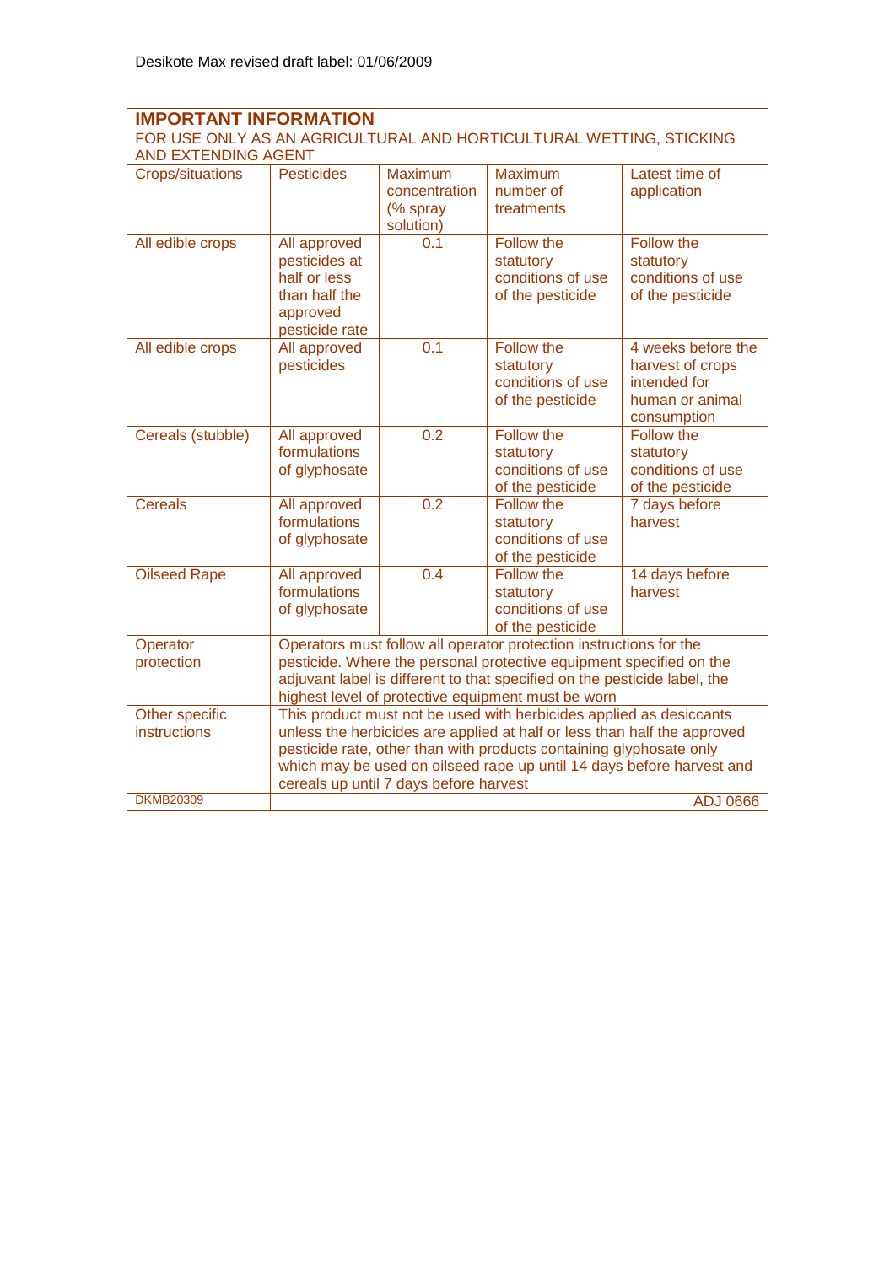### **IMPORTANT INFORMATION**  FOR USE ONLY AS AN AGRICULTURAL AND HORTICULTURAL WETTING, STICKING AND EXTENDING AGENT

| AND EATENDING AGENT                   |                                                                                                                                                                                                                                                                                                                                           |                                                   |                                                                         |                                                                                          |  |
|---------------------------------------|-------------------------------------------------------------------------------------------------------------------------------------------------------------------------------------------------------------------------------------------------------------------------------------------------------------------------------------------|---------------------------------------------------|-------------------------------------------------------------------------|------------------------------------------------------------------------------------------|--|
| <b>Crops/situations</b>               | <b>Pesticides</b>                                                                                                                                                                                                                                                                                                                         | Maximum<br>concentration<br>(% spray<br>solution) | <b>Maximum</b><br>number of<br>treatments                               | Latest time of<br>application                                                            |  |
| All edible crops                      | All approved<br>pesticides at<br>half or less<br>than half the<br>approved<br>pesticide rate                                                                                                                                                                                                                                              | 0.1                                               | Follow the<br>statutory<br>conditions of use<br>of the pesticide        | Follow the<br>statutory<br>conditions of use<br>of the pesticide                         |  |
| All edible crops                      | <b>All approved</b><br>pesticides                                                                                                                                                                                                                                                                                                         | $\overline{0.1}$                                  | <b>Follow the</b><br>statutory<br>conditions of use<br>of the pesticide | 4 weeks before the<br>harvest of crops<br>intended for<br>human or animal<br>consumption |  |
| Cereals (stubble)                     | All approved<br>formulations<br>of glyphosate                                                                                                                                                                                                                                                                                             | 0.2                                               | <b>Follow the</b><br>statutory<br>conditions of use<br>of the pesticide | Follow the<br>statutory<br>conditions of use<br>of the pesticide                         |  |
| <b>Cereals</b>                        | All approved<br>formulations<br>of glyphosate                                                                                                                                                                                                                                                                                             | $\overline{0.2}$                                  | Follow the<br>statutory<br>conditions of use<br>of the pesticide        | 7 days before<br>harvest                                                                 |  |
| <b>Oilseed Rape</b>                   | All approved<br>formulations<br>of glyphosate                                                                                                                                                                                                                                                                                             | 0.4                                               | Follow the<br>statutory<br>conditions of use<br>of the pesticide        | 14 days before<br>harvest                                                                |  |
| Operator<br>protection                | Operators must follow all operator protection instructions for the<br>pesticide. Where the personal protective equipment specified on the<br>adjuvant label is different to that specified on the pesticide label, the<br>highest level of protective equipment must be worn                                                              |                                                   |                                                                         |                                                                                          |  |
| Other specific<br><b>instructions</b> | This product must not be used with herbicides applied as desiccants<br>unless the herbicides are applied at half or less than half the approved<br>pesticide rate, other than with products containing glyphosate only<br>which may be used on oilseed rape up until 14 days before harvest and<br>cereals up until 7 days before harvest |                                                   |                                                                         |                                                                                          |  |
| <b>DKMB20309</b>                      | <b>ADJ 0666</b>                                                                                                                                                                                                                                                                                                                           |                                                   |                                                                         |                                                                                          |  |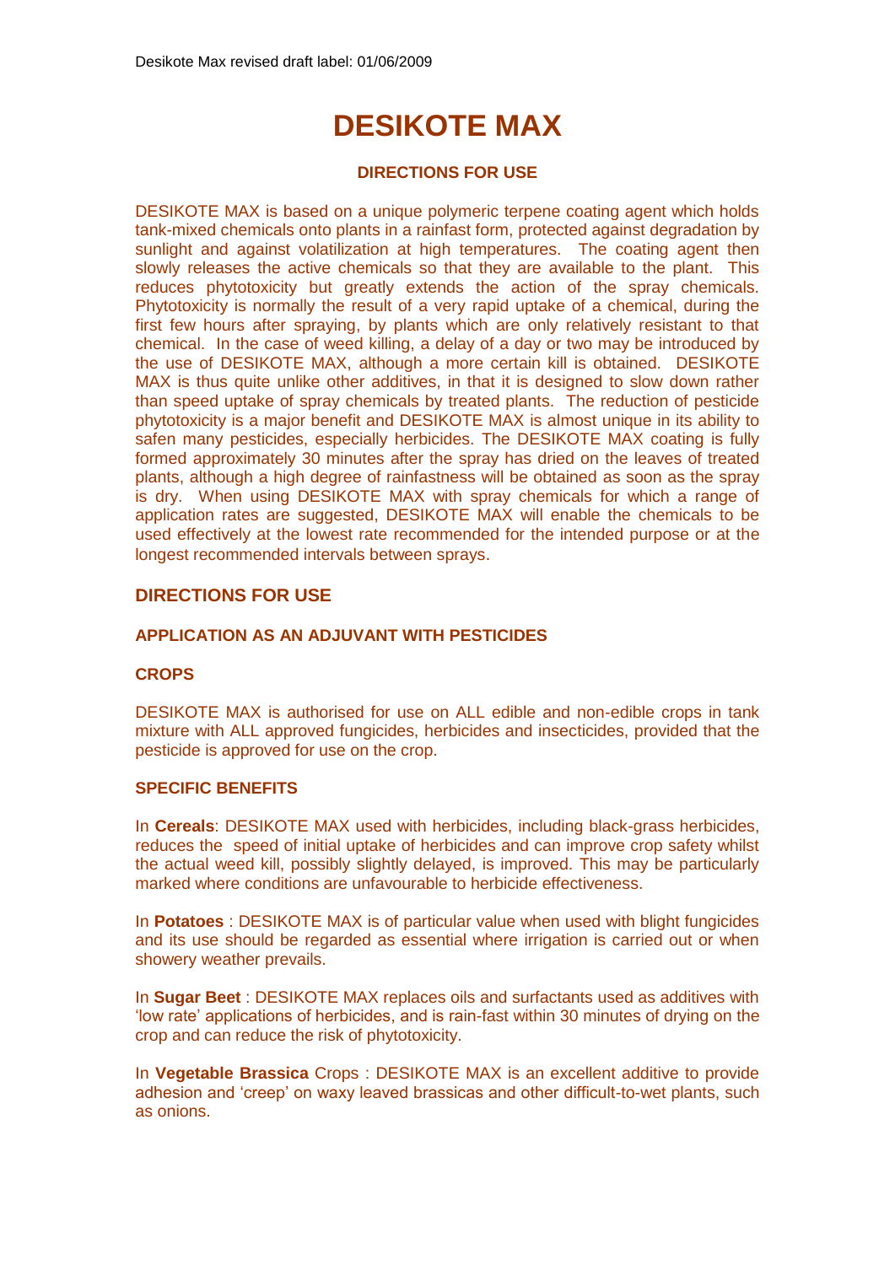# **DESIKOTE MAX**

# **DIRECTIONS FOR USE**

DESIKOTE MAX is based on a unique polymeric terpene coating agent which holds tank-mixed chemicals onto plants in a rainfast form, protected against degradation by sunlight and against volatilization at high temperatures. The coating agent then slowly releases the active chemicals so that they are available to the plant. This reduces phytotoxicity but greatly extends the action of the spray chemicals. Phytotoxicity is normally the result of a very rapid uptake of a chemical, during the first few hours after spraying, by plants which are only relatively resistant to that chemical. In the case of weed killing, a delay of a day or two may be introduced by the use of DESIKOTE MAX, although a more certain kill is obtained. DESIKOTE MAX is thus quite unlike other additives, in that it is designed to slow down rather than speed uptake of spray chemicals by treated plants. The reduction of pesticide phytotoxicity is a major benefit and DESIKOTE MAX is almost unique in its ability to safen many pesticides, especially herbicides. The DESIKOTE MAX coating is fully formed approximately 30 minutes after the spray has dried on the leaves of treated plants, although a high degree of rainfastness will be obtained as soon as the spray is dry. When using DESIKOTE MAX with spray chemicals for which a range of application rates are suggested, DESIKOTE MAX will enable the chemicals to be used effectively at the lowest rate recommended for the intended purpose or at the longest recommended intervals between sprays.

# **DIRECTIONS FOR USE**

# **APPLICATION AS AN ADJUVANT WITH PESTICIDES**

#### **CROPS**

DESIKOTE MAX is authorised for use on ALL edible and non-edible crops in tank mixture with ALL approved fungicides, herbicides and insecticides, provided that the pesticide is approved for use on the crop.

#### **SPECIFIC BENEFITS**

In **Cereals**: DESIKOTE MAX used with herbicides, including black-grass herbicides, reduces the speed of initial uptake of herbicides and can improve crop safety whilst the actual weed kill, possibly slightly delayed, is improved. This may be particularly marked where conditions are unfavourable to herbicide effectiveness.

In **Potatoes** : DESIKOTE MAX is of particular value when used with blight fungicides and its use should be regarded as essential where irrigation is carried out or when showery weather prevails.

In **Sugar Beet** : DESIKOTE MAX replaces oils and surfactants used as additives with 'low rate' applications of herbicides, and is rain-fast within 30 minutes of drying on the crop and can reduce the risk of phytotoxicity.

In **Vegetable Brassica** Crops : DESIKOTE MAX is an excellent additive to provide adhesion and 'creep' on waxy leaved brassicas and other difficult-to-wet plants, such as onions.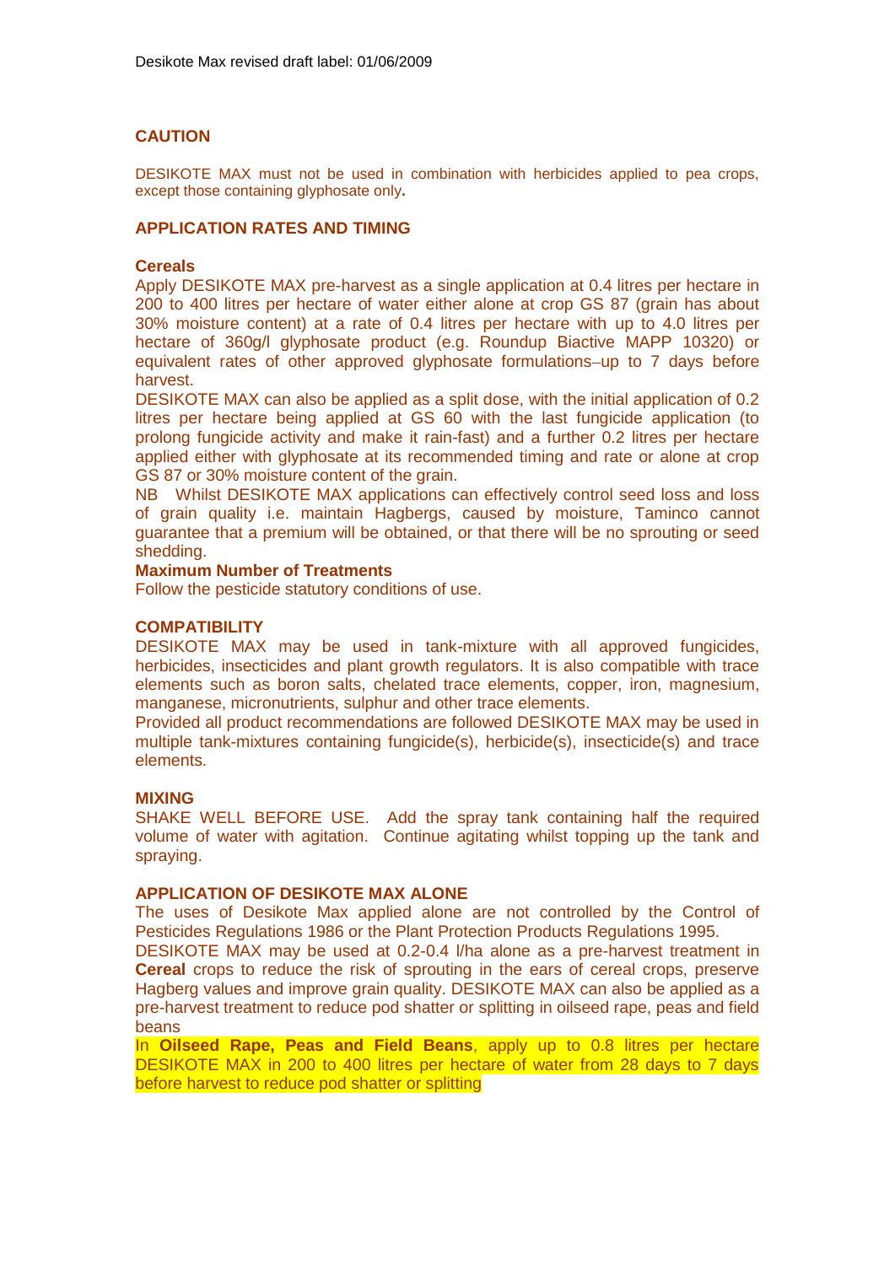# **CAUTION**

DESIKOTE MAX must not be used in combination with herbicides applied to pea crops, except those containing glyphosate only**.**

#### **APPLICATION RATES AND TIMING**

#### **Cereals**

Apply DESIKOTE MAX pre-harvest as a single application at 0.4 litres per hectare in 200 to 400 litres per hectare of water either alone at crop GS 87 (grain has about 30% moisture content) at a rate of 0.4 litres per hectare with up to 4.0 litres per hectare of 360g/l glyphosate product (e.g. Roundup Biactive MAPP 10320) or equivalent rates of other approved glyphosate formulations-up to 7 days before harvest.

DESIKOTE MAX can also be applied as a split dose, with the initial application of 0.2 litres per hectare being applied at GS 60 with the last fungicide application (to prolong fungicide activity and make it rain-fast) and a further 0.2 litres per hectare applied either with glyphosate at its recommended timing and rate or alone at crop GS 87 or 30% moisture content of the grain.

NB Whilst DESIKOTE MAX applications can effectively control seed loss and loss of grain quality i.e. maintain Hagbergs, caused by moisture, Taminco cannot guarantee that a premium will be obtained, or that there will be no sprouting or seed shedding.

#### **Maximum Number of Treatments**

Follow the pesticide statutory conditions of use.

### **COMPATIBILITY**

DESIKOTE MAX may be used in tank-mixture with all approved fungicides, herbicides, insecticides and plant growth regulators. It is also compatible with trace elements such as boron salts, chelated trace elements, copper, iron, magnesium, manganese, micronutrients, sulphur and other trace elements.

Provided all product recommendations are followed DESIKOTE MAX may be used in multiple tank-mixtures containing fungicide(s), herbicide(s), insecticide(s) and trace elements.

#### **MIXING**

SHAKE WELL BEFORE USE. Add the spray tank containing half the required volume of water with agitation. Continue agitating whilst topping up the tank and spraying.

# **APPLICATION OF DESIKOTE MAX ALONE**

The uses of Desikote Max applied alone are not controlled by the Control of Pesticides Regulations 1986 or the Plant Protection Products Regulations 1995.

DESIKOTE MAX may be used at 0.2-0.4 l/ha alone as a pre-harvest treatment in **Cereal** crops to reduce the risk of sprouting in the ears of cereal crops, preserve Hagberg values and improve grain quality. DESIKOTE MAX can also be applied as a pre-harvest treatment to reduce pod shatter or splitting in oilseed rape, peas and field beans

In **Oilseed Rape, Peas and Field Beans**, apply up to 0.8 litres per hectare DESIKOTE MAX in 200 to 400 litres per hectare of water from 28 days to 7 days before harvest to reduce pod shatter or splitting